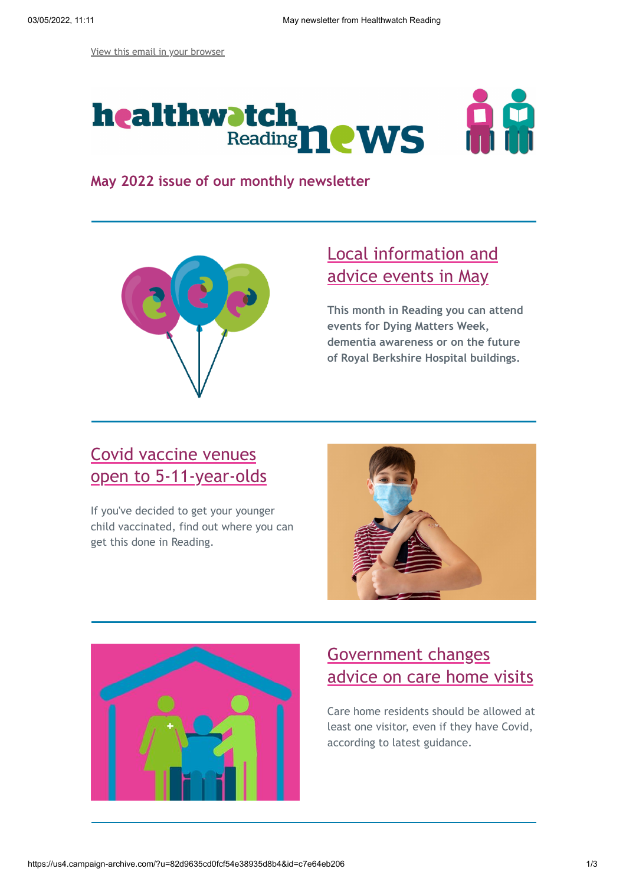[View this email in your browser](https://mailchi.mp/c1b694cd1c65/may-newsletter-from-healthwatch-reading)



**May 2022 issue of our monthly newsletter**



### [Local information and](https://healthwatchreading.co.uk/news/2022-04-26/upcoming-events-may) advice events in May

**This month in Reading you can attend events for Dying Matters Week, dementia awareness or on the future of Royal Berkshire Hospital buildings.**

# Covid vaccine venues [open to 5-11-year-olds](https://healthwatchreading.co.uk/advice-and-information/2022-04-13/local-covid-vaccine-venues-5-11-year-olds)

If you've decided to get your younger child vaccinated, find out where you can get this done in Reading.





## Government changes [advice on care home visits](https://healthwatchreading.co.uk/news/2022-04-27/government-updates-advice-care-home-visits)

Care home residents should be allowed at least one visitor, even if they have Covid, according to latest guidance.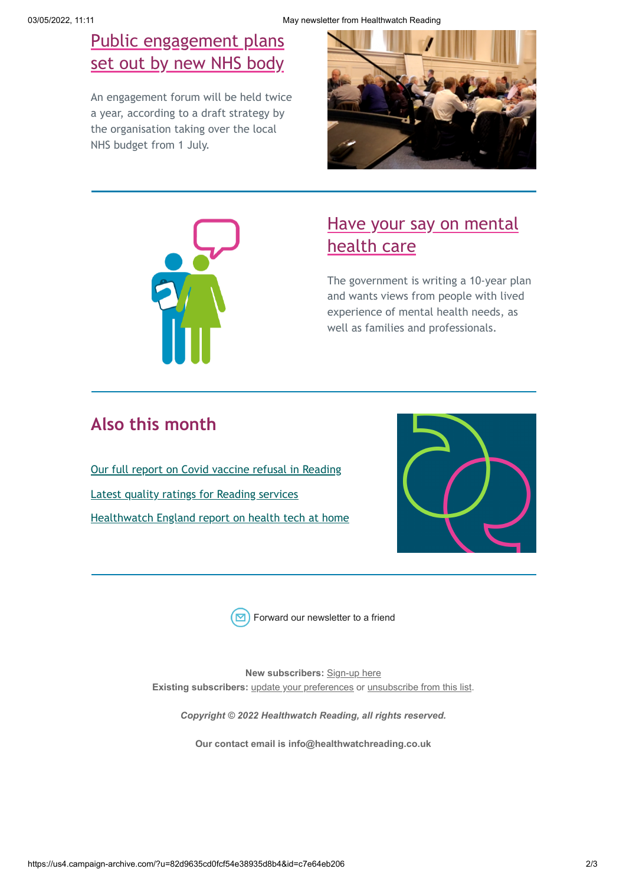### [Public engagement plans](https://healthwatchreading.co.uk/news/2022-04-29/nhs-funding-body-sets-out-engagement-plans) set out by new NHS body

An engagement forum will be held twice a year, according to a draft strategy by the organisation taking over the local NHS budget from 1 July.





### [Have your say on mental](https://healthwatchreading.co.uk/news/2022-04-26/have-your-say-future-mental-health-care) health care

The government is writing a 10-year plan and wants views from people with lived experience of mental health needs, as well as families and professionals.

## **Also this month**

[Our full report on Covid vaccine refusal in Reading](https://healthwatchreading.co.uk/report/2022-04-26/covid-vaccine-refusal-reading) [Latest quality ratings for Reading services](https://healthwatchreading.co.uk/news/2022-04-26/latest-quality-ratings-reading-services) [Healthwatch England report on health tech at home](https://www.healthwatch.co.uk/news/2022-04-26/using-tech-monitor-your-health-home-what-can-nhs-learn)





[Forward our newsletter to a friend](http://us4.forward-to-friend.com/forward?u=82d9635cd0fcf54e38935d8b4&id=c7e64eb206&e=[UNIQID])

**New subscribers:** [Sign-up here](http://eepurl.com/yVyGL) **Existing subscribers:** [update your preferences](https://healthwatchreading.us4.list-manage.com/profile?u=82d9635cd0fcf54e38935d8b4&id=7b796542a7&e=[UNIQID]) or [unsubscribe from this list](https://healthwatchreading.us4.list-manage.com/unsubscribe?u=82d9635cd0fcf54e38935d8b4&id=7b796542a7&e=[UNIQID]&c=7717c032cc).

*Copyright © 2022 Healthwatch Reading, all rights reserved.*

**Our contact email is info@healthwatchreading.co.uk**